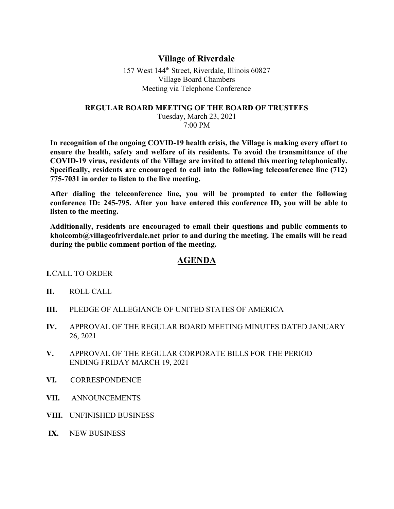## **Village of Riverdale**

157 West 144th Street, Riverdale, Illinois 60827 Village Board Chambers Meeting via Telephone Conference

## **REGULAR BOARD MEETING OF THE BOARD OF TRUSTEES**

Tuesday, March 23, 2021 7:00 PM

**In recognition of the ongoing COVID-19 health crisis, the Village is making every effort to ensure the health, safety and welfare of its residents. To avoid the transmittance of the COVID-19 virus, residents of the Village are invited to attend this meeting telephonically. Specifically, residents are encouraged to call into the following teleconference line (712) 775-7031 in order to listen to the live meeting.**

**After dialing the teleconference line, you will be prompted to enter the following conference ID: 245-795. After you have entered this conference ID, you will be able to listen to the meeting.**

**Additionally, residents are encouraged to email their questions and public comments to kholcomb@villageofriverdale.net prior to and during the meeting. The emails will be read during the public comment portion of the meeting.**

## **AGENDA**

**I.**CALL TO ORDER

- **II.** ROLL CALL
- **III.** PLEDGE OF ALLEGIANCE OF UNITED STATES OF AMERICA
- **IV.** APPROVAL OF THE REGULAR BOARD MEETING MINUTES DATED JANUARY 26, 2021
- **V.** APPROVAL OF THE REGULAR CORPORATE BILLS FOR THE PERIOD ENDING FRIDAY MARCH 19, 2021
- **VI.** CORRESPONDENCE
- **VII.** ANNOUNCEMENTS
- **VIII.** UNFINISHED BUSINESS
- **IX.** NEW BUSINESS